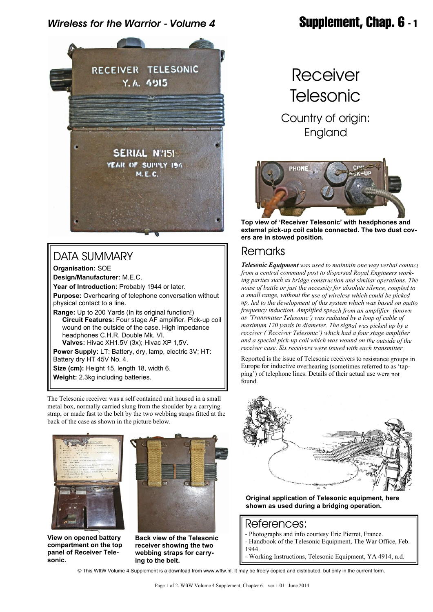## *Wireless for the Warrior - Volume 4* **Supplement, Chap. 6 - 1**



# DATA SUMMARY

**Organisation:** SOE **Design/Manufacturer:** M.E.C. **Year of Introduction:** Probably 1944 or later. **Purpose:** Overhearing of telephone conversation without physical contact to a line. **Range:** Up to 200 Yards (In its original function!)  **Circuit Features:** Four stage AF amplifier. Pick-up coil wound on the outside of the case. High impedance headphones C.H.R. Double Mk. VI.  **Valves:** Hivac XH1.5V (3x); Hivac XP 1,5V. **Power Supply:** LT: Battery, dry, lamp, electric 3V; HT: Battery dry HT 45V No. 4.

**Size (cm):** Height 15, length 18, width 6.

**Weight:** 2.3kg including batteries.

The Telesonic receiver was a self contained unit housed in a small metal box, normally carried slung from the shoulder by a carrying strap, or made fast to the belt by the two webbing straps fitted at the back of the case as shown in the picture below.





**View on opened battery compartment on the top panel of Receiver Telesonic.**



**Receiver Telesonic** Country of origin:

England



**Top view of 'Receiver Telesonic' with headphones and external pick-up coil cable connected. The two dust covers are in stowed position.**

### Remarks

*Telesonic Equipment was used to maintain one way verbal contact from a central command post to dispersed Royal Engineers working parties such as bridge construction and similar operations. The noise of battle or just the necessity for absolute silence, coupled to a small range, without the use of wireless which could be picked up, led to the development of this system which was based on audio frequency induction. Amplified speech from an amplifier (known as 'Transmitter Telesonic') was radiated by a loop of cable of maximum 120 yards in diameter. The signal was picked up by a receiver ('Receiver Telesonic') which had a four stage amplifier and a special pick-up coil which was wound on the outside of the receiver case. Six receivers were issued with each transmitter.*

Reported is the issue of Telesonic receivers to resistance groups in Europe for inductive overhearing (sometimes referred to as 'tapping') of telephone lines. Details of their actual use were not found.



**Original application of Telesonic equipment, here shown as used during a bridging operation.**

### References:

- Photographs and info courtesy Eric Pierret, France.
- Handbook of the Telesonic Equipment, The War Office, Feb. 1944.
	- Working Instructions, Telesonic Equipment, YA 4914, n.d.
- 

© This WftW Volume 4 Supplement is a download from www.wftw.nl. It may be freely copied and distributed, but only in the current form.